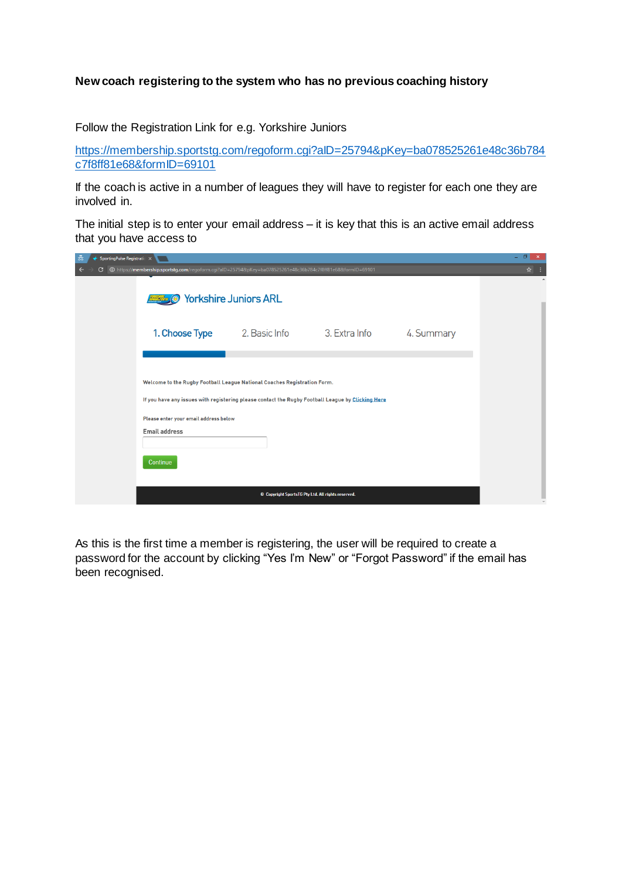## **New coach registering to the system who has no previous coaching history**

Follow the Registration Link for e.g. Yorkshire Juniors

[https://membership.sportstg.com/regoform.cgi?aID=25794&pKey=ba078525261e48c36b784](https://membership.sportstg.com/regoform.cgi?aID=25794&pKey=ba078525261e48c36b784c7f8ff81e68&formID=69101) [c7f8ff81e68&formID=69101](https://membership.sportstg.com/regoform.cgi?aID=25794&pKey=ba078525261e48c36b784c7f8ff81e68&formID=69101)

If the coach is active in a number of leagues they will have to register for each one they are involved in.

The initial step is to enter your email address – it is key that this is an active email address that you have access to

| 츪<br>SportingPulse Registratic X |                                                                                                                                                                                                                                                |                              |                                                    |            | - 61<br>$\mathbf{x}$ |
|----------------------------------|------------------------------------------------------------------------------------------------------------------------------------------------------------------------------------------------------------------------------------------------|------------------------------|----------------------------------------------------|------------|----------------------|
| C                                | O https://membership.sportstg.com/regoform.cgi?alD=25794&pKey=ba078525261e48c36b784c7f8ff81e68&formlD=69101                                                                                                                                    |                              |                                                    |            | ☆                    |
|                                  | O                                                                                                                                                                                                                                              | <b>Yorkshire Juniors ARL</b> |                                                    |            |                      |
|                                  | 1. Choose Type                                                                                                                                                                                                                                 | 2. Basic Info                | 3. Extra Info                                      | 4. Summary |                      |
|                                  |                                                                                                                                                                                                                                                |                              |                                                    |            |                      |
|                                  | Welcome to the Rugby Football League National Coaches Registration Form.<br>If you have any issues with registering please contact the Rugby Football League by Clicking Here<br>Please enter your email address below<br><b>Email address</b> |                              |                                                    |            |                      |
|                                  | Continue                                                                                                                                                                                                                                       |                              | © Copyright SportsTG Pty Ltd. All rights reserved. |            |                      |

As this is the first time a member is registering, the user will be required to create a password for the account by clicking "Yes I'm New" or "Forgot Password" if the email has been recognised.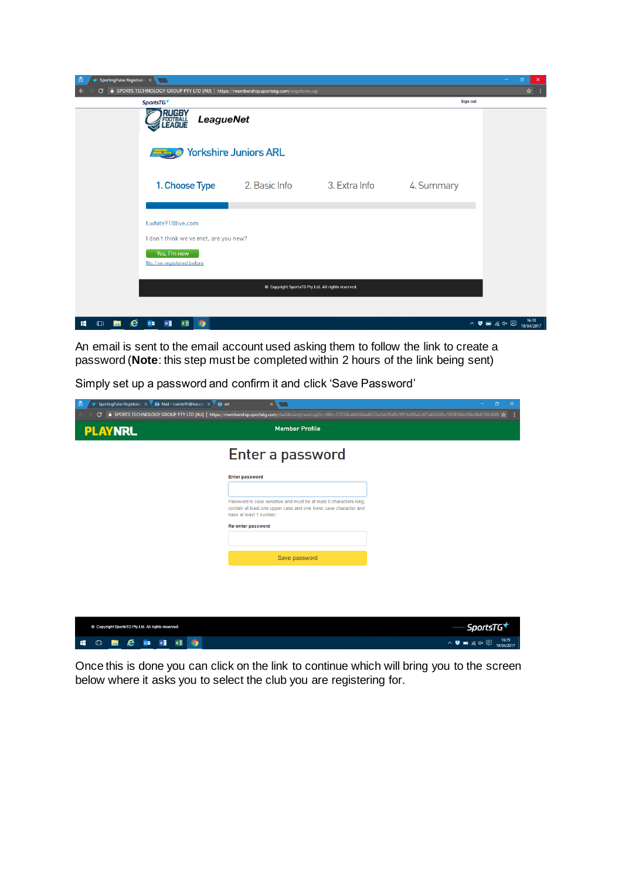

An email is sent to the email account used asking them to follow the link to create a password (**Note**: this step must be completed within 2 hours of the link being sent)

| 츪<br>SportingPulse Registratio $\times$ 02 Mail - twhite91@live.cor $\times$ \$p set<br>C | ● SPORTS TECHNOLOGY GROUP PTY LTD [AU]   https://membership.sportstg.com/dashboard/reset.cgi?r=3&t=57258ca66564af6f72a3dcf0afb1f974e98a5d07a6345f5c183938fe306cf8df702d6f0 ☆ | п        |
|-------------------------------------------------------------------------------------------|------------------------------------------------------------------------------------------------------------------------------------------------------------------------------|----------|
| <b>PLAYNRL</b>                                                                            | <b>Member Profile</b>                                                                                                                                                        |          |
|                                                                                           | Enter a password                                                                                                                                                             |          |
|                                                                                           | <b>Enter password</b>                                                                                                                                                        |          |
|                                                                                           | Password is case sensitive and must be at least 6 characters long,<br>contain at least one upper case and one lower case character and<br>have at least 1 number.            |          |
|                                                                                           | Re-enter password                                                                                                                                                            |          |
|                                                                                           | Save password                                                                                                                                                                |          |
|                                                                                           |                                                                                                                                                                              |          |
|                                                                                           |                                                                                                                                                                              |          |
| © Copyright SportsTG Pty Ltd. All rights reserved.                                        |                                                                                                                                                                              | SportsTG |

Simply set up a password and confirm it and click 'Save Password'

HOP CONTRIC

Once this is done you can click on the link to continue which will bring you to the screen below where it asks you to select the club you are registering for.

△ **夏** ■ *系*  $4 \times$  ■ 16:19<br>19/04/2017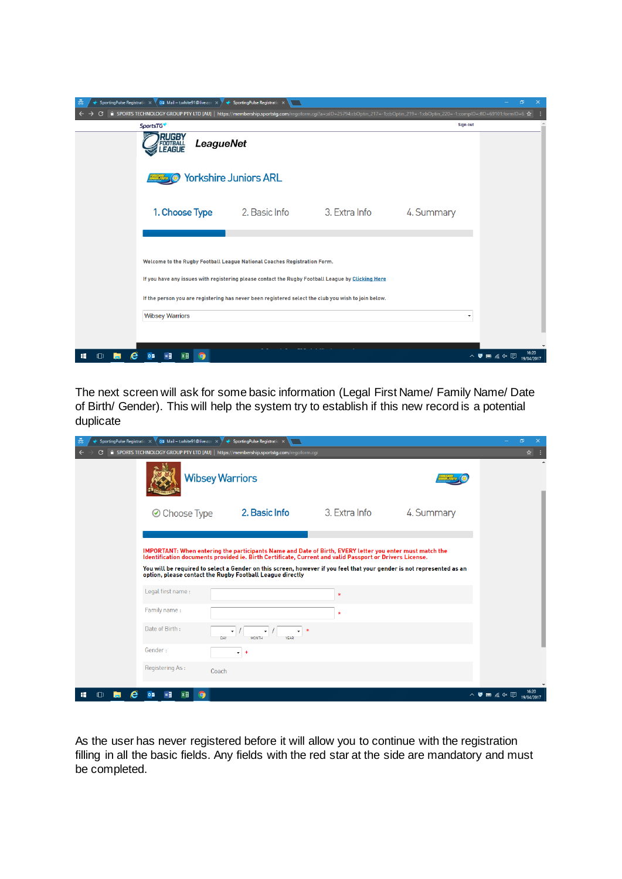| 츪<br>SportingPulse Registratio $\times$ V | $\overline{\text{0}}$ Mail - twhite91@live.com $\times$                                                                                                                                                                                                                                                        | ← SportingPulse Registratio × |               |                 | ο                                                                           |  |
|-------------------------------------------|----------------------------------------------------------------------------------------------------------------------------------------------------------------------------------------------------------------------------------------------------------------------------------------------------------------|-------------------------------|---------------|-----------------|-----------------------------------------------------------------------------|--|
|                                           | A SPORTS TECHNOLOGY GROUP PTY LTD [AU]   https://membership.sportstg.com/regoform.cgi?a=;alD=25794;cbOptin_217=-1;cbOptin_219=-1;cbOptin_229=-1;complD=;flD=69101;formlD=6 ☆                                                                                                                                   |                               |               |                 |                                                                             |  |
|                                           | SportsTG <sup>+</sup>                                                                                                                                                                                                                                                                                          |                               |               | <b>Sign out</b> |                                                                             |  |
|                                           | RUGBY<br><b>LeagueNet</b><br>FOOTBALL<br><b>EAGUE</b>                                                                                                                                                                                                                                                          |                               |               |                 |                                                                             |  |
|                                           |                                                                                                                                                                                                                                                                                                                | <b>Yorkshire Juniors ARL</b>  |               |                 |                                                                             |  |
|                                           | 1. Choose Type                                                                                                                                                                                                                                                                                                 | 2. Basic Info                 | 3. Extra Info | 4. Summary      |                                                                             |  |
|                                           | Welcome to the Rugby Football League National Coaches Registration Form.<br>If you have any issues with registering please contact the Rugby Football League by Clicking Here<br>If the person you are registering has never been registered select the club you wish to join below.<br><b>Wibsey Warriors</b> |                               |               |                 |                                                                             |  |
|                                           | $\bullet$                                                                                                                                                                                                                                                                                                      |                               |               |                 | 16:20<br>$\wedge$ $\bullet$ $\bullet$ $\alpha$ $\circ$ $\Box$<br>19/04/2017 |  |

The next screen will ask for some basic information (Legal First Name/ Family Name/ Date of Birth/ Gender). This will help the system try to establish if this new record is a potential duplicate

| 츪 | SportingPulse Registratio $\times$ 02 Mail - twhite91@live.cor $\times$ $\blacktriangledown$ $\blacklozenge$ SportingPulse Registratio $\times$ |                                                                                                                                                                                                                    |               |            | ο                                                                              |
|---|-------------------------------------------------------------------------------------------------------------------------------------------------|--------------------------------------------------------------------------------------------------------------------------------------------------------------------------------------------------------------------|---------------|------------|--------------------------------------------------------------------------------|
| G |                                                                                                                                                 | SPORTS TECHNOLOGY GROUP PTY LTD [AU]   https://membership.sportstg.com/regoform.cgi                                                                                                                                |               |            | ☆                                                                              |
|   |                                                                                                                                                 | <b>Wibsey Warriors</b>                                                                                                                                                                                             |               |            |                                                                                |
|   | <b>⊘</b> Choose Type                                                                                                                            | 2. Basic Info                                                                                                                                                                                                      | 3. Extra Info | 4. Summary |                                                                                |
|   |                                                                                                                                                 | IMPORTANT: When entering the participants Name and Date of Birth, EVERY letter you enter must match the<br>Identification documents provided ie. Birth Certificate, Current and valid Passport or Drivers License. |               |            |                                                                                |
|   |                                                                                                                                                 | You will be required to select a Gender on this screen, however if you feel that your gender is not represented as an<br>option, please contact the Rugby Football League directly                                 |               |            |                                                                                |
|   | Legal first name:                                                                                                                               |                                                                                                                                                                                                                    | $\ast$        |            |                                                                                |
|   | Family name:                                                                                                                                    |                                                                                                                                                                                                                    | $\ast$        |            |                                                                                |
|   | Date of Birth:                                                                                                                                  | ۰<br>DAY                                                                                                                                                                                                           |               |            |                                                                                |
|   | Gender:                                                                                                                                         | ۰l                                                                                                                                                                                                                 |               |            |                                                                                |
|   | Registering As:                                                                                                                                 | Coach                                                                                                                                                                                                              |               |            |                                                                                |
|   | οM<br>$\bullet$<br>w≣                                                                                                                           |                                                                                                                                                                                                                    |               |            | 16:20<br>$\wedge$ $\blacksquare$ $\blacksquare$ $\ll$ $\lozenge$<br>19/04/2017 |

As the user has never registered before it will allow you to continue with the registration filling in all the basic fields. Any fields with the red star at the side are mandatory and must be completed.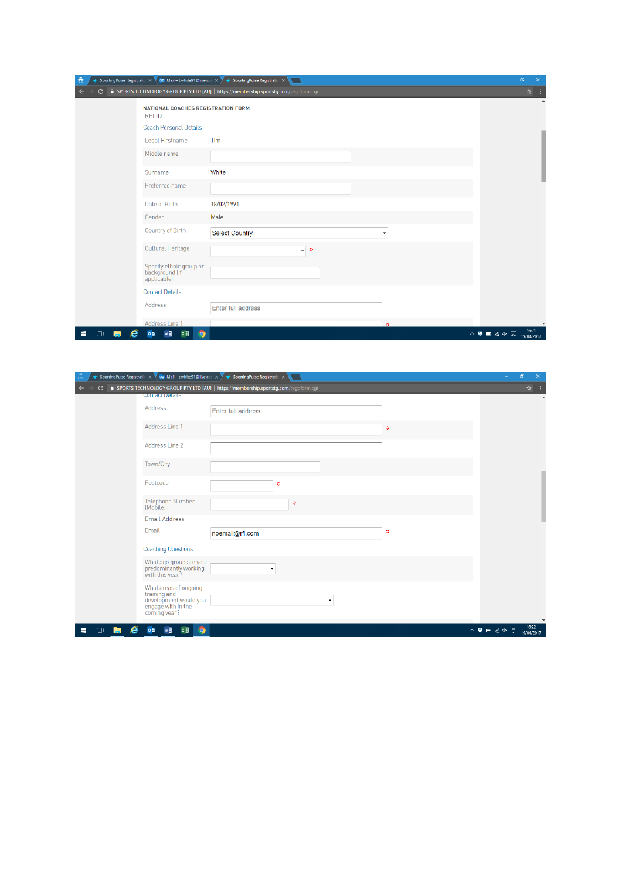| $\frac{1}{60}$        |                                                            | SportingPulse Registratic $\times$ 02 Mail – twhite91@live.cor $\times$ $\overline{\smash{\big)}\,}$ SportingPulse Registratic $\times$ | $\Box$<br>$\times$<br>-                                                          |
|-----------------------|------------------------------------------------------------|-----------------------------------------------------------------------------------------------------------------------------------------|----------------------------------------------------------------------------------|
| G                     |                                                            | F SPORTS TECHNOLOGY GROUP PTY LTD [AU]   https://membership.sportstg.com/regoform.cgi                                                   | ☆ :                                                                              |
|                       | NATIONAL COACHES REGISTRATION FORM<br><b>RFLID</b>         |                                                                                                                                         |                                                                                  |
|                       | <b>Coach Personal Details</b>                              |                                                                                                                                         |                                                                                  |
|                       | Legal Firstname                                            | Tim                                                                                                                                     |                                                                                  |
|                       | Middle name                                                |                                                                                                                                         |                                                                                  |
|                       | Surname                                                    | White                                                                                                                                   |                                                                                  |
|                       | Preferred name                                             |                                                                                                                                         |                                                                                  |
|                       | Date of Birth                                              | 18/02/1991                                                                                                                              |                                                                                  |
|                       | Gender                                                     | Male                                                                                                                                    |                                                                                  |
|                       | Country of Birth                                           | <b>Select Country</b><br>٠                                                                                                              |                                                                                  |
|                       | <b>Cultural Heritage</b>                                   | $\circ$<br>۰                                                                                                                            |                                                                                  |
|                       | Specify ethnic group or<br>background (if<br>applicable)   |                                                                                                                                         |                                                                                  |
|                       | <b>Contact Details</b>                                     |                                                                                                                                         |                                                                                  |
|                       | Address                                                    | Enter full address                                                                                                                      |                                                                                  |
|                       | Address Line 1                                             | $\circ$                                                                                                                                 |                                                                                  |
| e<br>÷<br>$\Box$<br>ы | w<br>$x \overline{y}$<br>$\circ$ $\overline{\bullet}$<br>Q |                                                                                                                                         | 16:21<br>$\wedge$ $\blacksquare$ $\blacksquare$ $\ll$ $\heartsuit$<br>19/04/2017 |

| 츪<br>SportingPulse Registratio $\times$ 02 Mail – t.white91@live.cor $\times$ $\blacktriangledown$ $\blacklozenge$ SportingPulse Registratio $\times$ |                                                                                              |           | $\Box$<br>$\boldsymbol{\times}$<br>$\overline{\phantom{0}}$                      |
|-------------------------------------------------------------------------------------------------------------------------------------------------------|----------------------------------------------------------------------------------------------|-----------|----------------------------------------------------------------------------------|
| G                                                                                                                                                     | <b>a</b> SPORTS TECHNOLOGY GROUP PTY LTD [AU]   https://membership.sportstg.com/regoform.cgi |           | ☆ :                                                                              |
| <b>Contact Detaits</b>                                                                                                                                |                                                                                              |           | $\Delta$                                                                         |
| Address                                                                                                                                               | Enter full address                                                                           |           |                                                                                  |
| Address Line 1                                                                                                                                        |                                                                                              | $\bullet$ |                                                                                  |
| Address Line 2                                                                                                                                        |                                                                                              |           |                                                                                  |
| Town/City                                                                                                                                             |                                                                                              |           |                                                                                  |
| Postcode                                                                                                                                              | ۰                                                                                            |           |                                                                                  |
| <b>Telephone Number</b><br>[Mobile]                                                                                                                   | $\circ$                                                                                      |           |                                                                                  |
| <b>Email Address</b>                                                                                                                                  |                                                                                              |           |                                                                                  |
| Email                                                                                                                                                 | noemail@rfl.com                                                                              | ۰         |                                                                                  |
| <b>Coaching Questions</b>                                                                                                                             |                                                                                              |           |                                                                                  |
| What age group are you<br>predominantly working<br>with this year?                                                                                    |                                                                                              |           |                                                                                  |
| What areas of ongoing<br>training and<br>development would you<br>engage with in the<br>coming year?                                                  | ۰                                                                                            |           |                                                                                  |
| w<br>$x \exists$<br>e<br>Q<br>$0\overline{2}$<br>÷<br>$\Box$                                                                                          |                                                                                              |           | 16:22<br>$\wedge$ $\blacksquare$ $\blacksquare$ $\ll$ $\heartsuit$<br>19/04/2017 |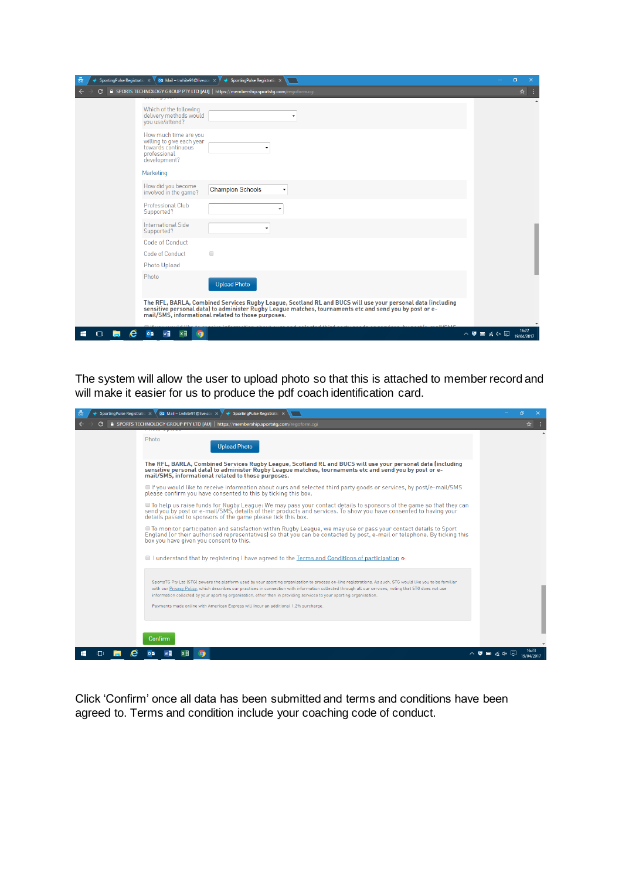| 츪<br>SportingPulse Registratio $\times$ 05 Mail - t.white91@live.cor $\times$ $\overline{\phantom{a}}$ SportingPulse Registratio $\times$                                                                                                                                    | σ                                            |
|------------------------------------------------------------------------------------------------------------------------------------------------------------------------------------------------------------------------------------------------------------------------------|----------------------------------------------|
| SPORTS TECHNOLOGY GROUP PTY LTD [AU]   https://membership.sportstq.com/regoform.cqi<br>C                                                                                                                                                                                     | ☆                                            |
| Which of the following<br>delivery methods would<br>you use/attend?                                                                                                                                                                                                          |                                              |
| How much time are you<br>willing to give each year<br>towards continuous<br>professional<br>development?                                                                                                                                                                     |                                              |
| Marketing                                                                                                                                                                                                                                                                    |                                              |
| How did you become<br><b>Champion Schools</b><br>٠<br>involved in the game?                                                                                                                                                                                                  |                                              |
| Professional Club<br>Supported?                                                                                                                                                                                                                                              |                                              |
| <b>International Side</b><br>Supported?                                                                                                                                                                                                                                      |                                              |
| Code of Conduct                                                                                                                                                                                                                                                              |                                              |
| Code of Conduct<br>$\qquad \qquad \Box$                                                                                                                                                                                                                                      |                                              |
| Photo Upload                                                                                                                                                                                                                                                                 |                                              |
| Photo<br><b>Upload Photo</b>                                                                                                                                                                                                                                                 |                                              |
| The RFL, BARLA, Combined Services Rugby League, Scotland RL and BUCS will use your personal data (including<br>sensitive personal data) to administer Rugby League matches, tournaments etc and send you by post or e-<br>mail/SMS, informational related to those purposes. |                                              |
| $x \exists$<br>w∃<br>æ<br>Q                                                                                                                                                                                                                                                  | 110340<br>16:22<br>△ ● ■ 系 → 国<br>19/04/2017 |

The system will allow the user to upload photo so that this is attached to member record and will make it easier for us to produce the pdf coach identification card.

| 츪 | SportingPulse Registratio $\times$ 02 Mail - t.white91@live.cor $\times$<br>SportingPulse Registration                                                                                                                                                                                                                                                                                                                                                                                                                              | n                          |
|---|-------------------------------------------------------------------------------------------------------------------------------------------------------------------------------------------------------------------------------------------------------------------------------------------------------------------------------------------------------------------------------------------------------------------------------------------------------------------------------------------------------------------------------------|----------------------------|
|   | <b>a</b> SPORTS TECHNOLOGY GROUP PTY LTD [AU] https://membership.sportstg.com/regoform.cgi                                                                                                                                                                                                                                                                                                                                                                                                                                          | ☆                          |
|   | Photo<br><b>Upload Photo</b>                                                                                                                                                                                                                                                                                                                                                                                                                                                                                                        |                            |
|   | The RFL, BARLA, Combined Services Rugby League, Scotland RL and BUCS will use your personal data (including<br>sensitive personal data) to administer Rugby League matches, tournaments etc and send you by post or e-<br>mail/SMS, informational related to those purposes.                                                                                                                                                                                                                                                        |                            |
|   | If you would like to receive information about ours and selected third party goods or services, by post/e-mail/SMS<br>please confirm you have consented to this by ticking this box.                                                                                                                                                                                                                                                                                                                                                |                            |
|   | To help us raise funds for Rugby League: We may pass your contact details to sponsors of the game so that they can<br>send you by post or e-mail/SMS, details of their products and services. To show you have consented to having your<br>details passed to sponsors of the game please tick this box.                                                                                                                                                                                                                             |                            |
|   | ■ To monitor participation and satisfaction within Rugby League, we may use or pass your contact details to Sport<br>England (or their authorised representatives) so that you can be contacted by post, e-mail or telephone. By ticking this<br>box you have given you consent to this.                                                                                                                                                                                                                                            |                            |
|   | If I understand that by registering I have agreed to the Terms and Conditions of participation of                                                                                                                                                                                                                                                                                                                                                                                                                                   |                            |
|   | SportsTG Pty Ltd (STG) powers the platform used by your sporting organisation to process on-line registrations. As such, STG would like you to be familiar<br>with our Privacy Policy, which describes our practices in connection with information collected through all our services, noting that STG does not use<br>information collected by your sporting organisation, other than in providing services to your sporting organisation.<br>Payments made online with American Express will incur an additional 1.2% surcharge. |                            |
|   | Confirm                                                                                                                                                                                                                                                                                                                                                                                                                                                                                                                             |                            |
|   |                                                                                                                                                                                                                                                                                                                                                                                                                                                                                                                                     | ヘ 5 画 ≪ ⊄× 国<br>19/04/2017 |

Click 'Confirm' once all data has been submitted and terms and conditions have been agreed to. Terms and condition include your coaching code of conduct.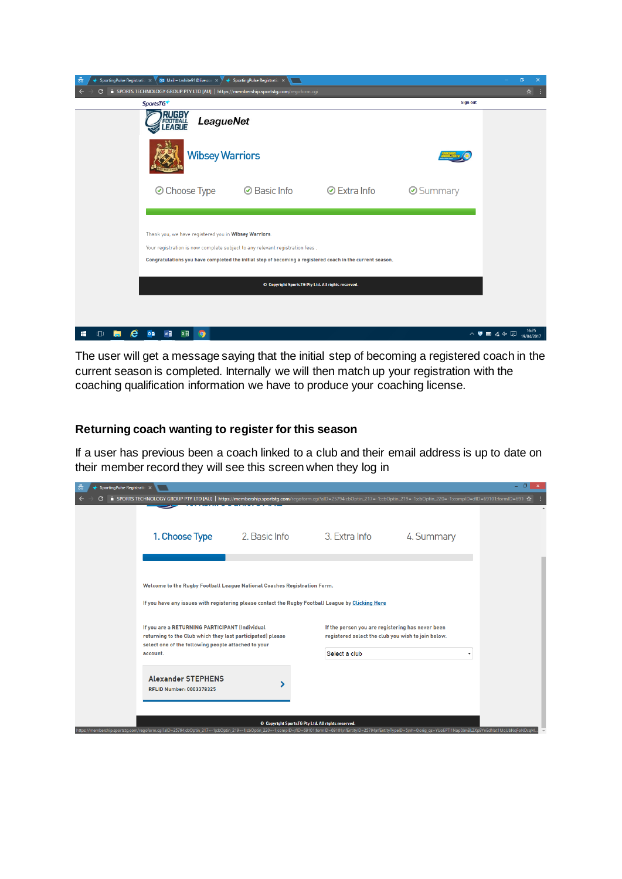

The user will get a message saying that the initial step of becoming a registered coach in the current season is completed. Internally we will then match up your registration with the coaching qualification information we have to produce your coaching license.

## **Returning coach wanting to register for this season**

If a user has previous been a coach linked to a club and their email address is up to date on their member record they will see this screen when they log in

| 츪<br>SportingPulse Registratio X |                                                                                                                                                                                                                           |               |                                                                                                                         |            | - 0 | $\mathbf{x}$ |
|----------------------------------|---------------------------------------------------------------------------------------------------------------------------------------------------------------------------------------------------------------------------|---------------|-------------------------------------------------------------------------------------------------------------------------|------------|-----|--------------|
|                                  | A SPORTS TECHNOLOGY GROUP PTY LTD [AU]   https://membership.sportstq.com/regoform.cgi?alD=25794;cbOptin 217=-1;cbOptin 219=-1;cbOptin 220=-1;complD=;flD=69101;formlD=691⊢☆                                               |               |                                                                                                                         |            |     |              |
|                                  | 1. Choose Type                                                                                                                                                                                                            | 2. Basic Info | 3. Extra Info                                                                                                           | 4. Summary |     |              |
|                                  | Welcome to the Rugby Football League National Coaches Registration Form.<br>If you have any issues with registering please contact the Rugby Football League by Clicking Here                                             |               |                                                                                                                         |            |     |              |
|                                  | If you are a RETURNING PARTICIPANT (Individual<br>returning to the Club which they last participated) please<br>select one of the following people attached to your<br>account.                                           |               | If the person you are registering has never been<br>registered select the club you wish to join below.<br>Select a club |            |     |              |
|                                  | <b>Alexander STEPHENS</b><br><b>RFLID Number: 0003378325</b>                                                                                                                                                              |               |                                                                                                                         |            |     |              |
|                                  | https://membership.sportstq.com/regoform.cqi?alD=25794;cbOptin_217=-1;cbOptin_219=-1;cbOptin_20=-1;compID=;fID=69101;formID=69101;mEntityID=25794;nfEntityTypeID=5;nh=0;oriq_qs=YUoEPT11Nap0JmBLZXp9YnEdNat1MqUbNqFoNDsqM |               | © Copyright SportsTG Pty Ltd. All rights reserved.                                                                      |            |     |              |